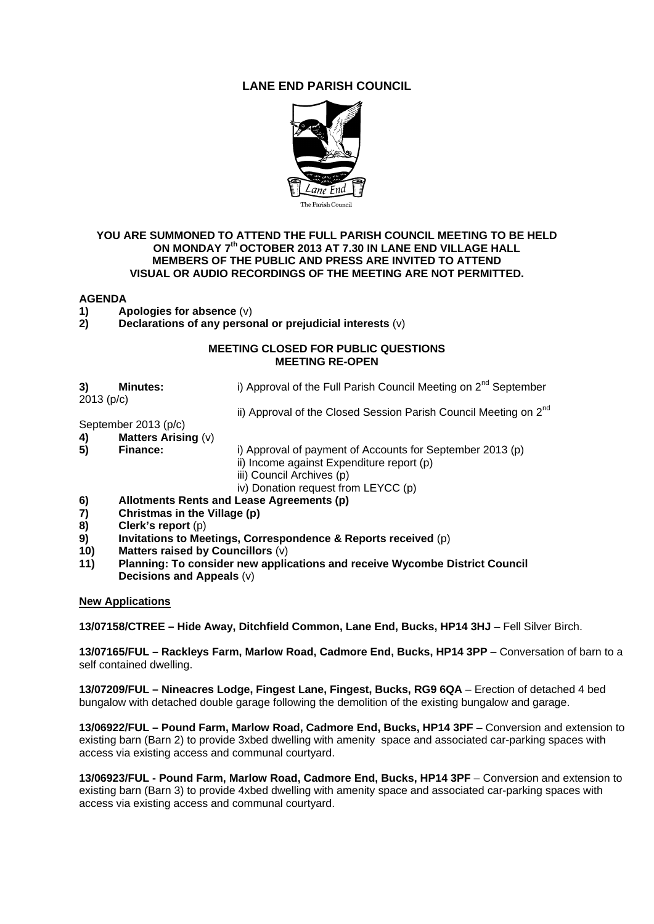## **LANE END PARISH COUNCIL**



## **YOU ARE SUMMONED TO ATTEND THE FULL PARISH COUNCIL MEETING TO BE HELD ON MONDAY 7th OCTOBER 2013 AT 7.30 IN LANE END VILLAGE HALL MEMBERS OF THE PUBLIC AND PRESS ARE INVITED TO ATTEND VISUAL OR AUDIO RECORDINGS OF THE MEETING ARE NOT PERMITTED.**

## **AGENDA**

- **1)** Apologies for absence (v)<br>**2)** Declarations of any perso
- **2) Declarations of any personal or prejudicial interests** (v)

## **MEETING CLOSED FOR PUBLIC QUESTIONS MEETING RE-OPEN**

**3) Minutes: i)** Approval of the Full Parish Council Meeting on 2<sup>nd</sup> September

2013 (p/c)

ii) Approval of the Closed Session Parish Council Meeting on 2<sup>nd</sup>

September 2013 (p/c)

**4) Matters Arising** (v)

- **5) Finance:** i) Approval of payment of Accounts for September 2013 (p)
	- ii) Income against Expenditure report (p)
	- iii) Council Archives (p)

iv) Donation request from LEYCC (p)

- **6) Allotments Rents and Lease Agreements (p)**
- **7) Christmas in the Village (p)**
- **8) Clerk's report** (p)
- **9) Invitations to Meetings, Correspondence & Reports received** (p)
- **10) Matters raised by Councillors** (v)
- **11) Planning: To consider new applications and receive Wycombe District Council Decisions and Appeals** (v)

**New Applications**

**13/07158/CTREE – Hide Away, Ditchfield Common, Lane End, Bucks, HP14 3HJ** – Fell Silver Birch.

**13/07165/FUL – Rackleys Farm, Marlow Road, Cadmore End, Bucks, HP14 3PP** – Conversation of barn to a self contained dwelling.

**13/07209/FUL – Nineacres Lodge, Fingest Lane, Fingest, Bucks, RG9 6QA** – Erection of detached 4 bed bungalow with detached double garage following the demolition of the existing bungalow and garage.

**13/06922/FUL – Pound Farm, Marlow Road, Cadmore End, Bucks, HP14 3PF** – Conversion and extension to existing barn (Barn 2) to provide 3xbed dwelling with amenity space and associated car-parking spaces with access via existing access and communal courtyard.

**13/06923/FUL - Pound Farm, Marlow Road, Cadmore End, Bucks, HP14 3PF** – Conversion and extension to existing barn (Barn 3) to provide 4xbed dwelling with amenity space and associated car-parking spaces with access via existing access and communal courtyard.